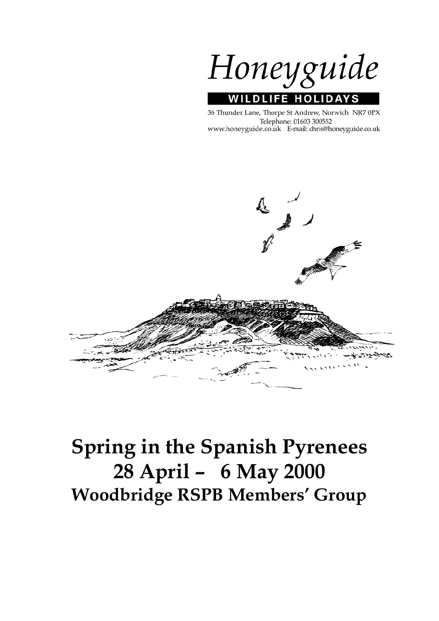Honeyguide **WILDLIFE HOLIDAYS** 

36 Thunder Lane, Thorpe St Andrew, Norwich NR7 0PX Telephone: 01603 300552 www.honeyguide.co.uk E-mail: chris@honeyguide.co.uk



# **Spring in the Spanish Pyrenees 28 April – 6 May 2000 Woodbridge RSPB Members' Group**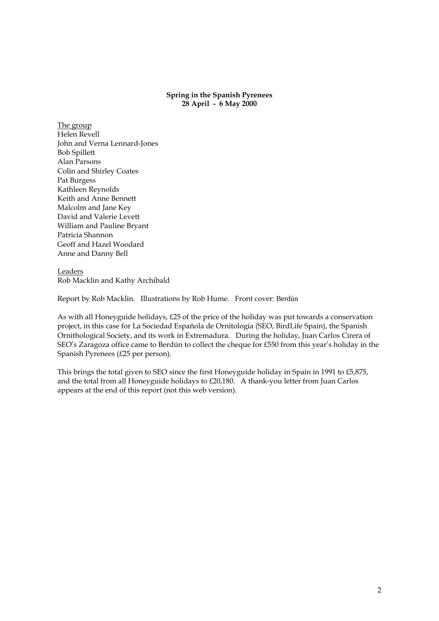# **Spring in the Spanish Pyrenees 28 April - 6 May 2000**

The group Helen Revell John and Verna Lennard-Jones Bob Spillett Alan Parsons Colin and Shirley Coates Pat Burgess Kathleen Reynolds Keith and Anne Bennett Malcolm and Jane Key David and Valerie Levett William and Pauline Bryant Patricia Shannon Geoff and Hazel Woodard Anne and Danny Bell

Leaders Rob Macklin and Kathy Archibald

Report by Rob Macklin. Illustrations by Rob Hume. Front cover: Berdún

As with all Honeyguide holidays, £25 of the price of the holiday was put towards a conservation project, in this case for La Sociedad Española de Ornitología (SEO, BirdLife Spain), the Spanish Ornithological Society, and its work in Extremadura. During the holiday, Juan Carlos Cirera of SEO's Zaragoza office came to Berdún to collect the cheque for £550 from this year's holiday in the Spanish Pyrenees (£25 per person).

This brings the total given to SEO since the first Honeyguide holiday in Spain in 1991 to £5,875, and the total from all Honeyguide holidays to £20,180. A thank-you letter from Juan Carlos appears at the end of this report (not this web version).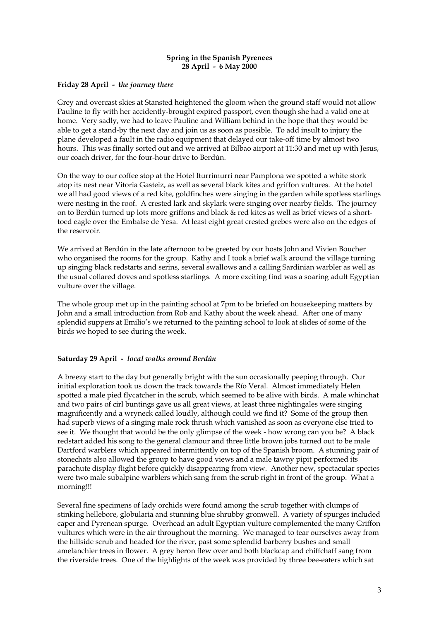# **Spring in the Spanish Pyrenees 28 April - 6 May 2000**

# **Friday 28 April - t***he journey there*

Grey and overcast skies at Stansted heightened the gloom when the ground staff would not allow Pauline to fly with her accidently-brought expired passport, even though she had a valid one at home. Very sadly, we had to leave Pauline and William behind in the hope that they would be able to get a stand-by the next day and join us as soon as possible. To add insult to injury the plane developed a fault in the radio equipment that delayed our take-off time by almost two hours. This was finally sorted out and we arrived at Bilbao airport at 11:30 and met up with Jesus, our coach driver, for the four-hour drive to Berdún.

On the way to our coffee stop at the Hotel Iturrimurri near Pamplona we spotted a white stork atop its nest near Vitoria Gasteiz, as well as several black kites and griffon vultures. At the hotel we all had good views of a red kite, goldfinches were singing in the garden while spotless starlings were nesting in the roof. A crested lark and skylark were singing over nearby fields. The journey on to Berdún turned up lots more griffons and black & red kites as well as brief views of a shorttoed eagle over the Embalse de Yesa. At least eight great crested grebes were also on the edges of the reservoir.

We arrived at Berdún in the late afternoon to be greeted by our hosts John and Vivien Boucher who organised the rooms for the group. Kathy and I took a brief walk around the village turning up singing black redstarts and serins, several swallows and a calling Sardinian warbler as well as the usual collared doves and spotless starlings. A more exciting find was a soaring adult Egyptian vulture over the village.

The whole group met up in the painting school at 7pm to be briefed on housekeeping matters by John and a small introduction from Rob and Kathy about the week ahead. After one of many splendid suppers at Emilio's we returned to the painting school to look at slides of some of the birds we hoped to see during the week.

# **Saturday 29 April -** *local walks around Berdún*

A breezy start to the day but generally bright with the sun occasionally peeping through. Our initial exploration took us down the track towards the Río Veral. Almost immediately Helen spotted a male pied flycatcher in the scrub, which seemed to be alive with birds. A male whinchat and two pairs of cirl buntings gave us all great views, at least three nightingales were singing magnificently and a wryneck called loudly, although could we find it? Some of the group then had superb views of a singing male rock thrush which vanished as soon as everyone else tried to see it. We thought that would be the only glimpse of the week - how wrong can you be? A black redstart added his song to the general clamour and three little brown jobs turned out to be male Dartford warblers which appeared intermittently on top of the Spanish broom. A stunning pair of stonechats also allowed the group to have good views and a male tawny pipit performed its parachute display flight before quickly disappearing from view. Another new, spectacular species were two male subalpine warblers which sang from the scrub right in front of the group. What a morning!!!

Several fine specimens of lady orchids were found among the scrub together with clumps of stinking hellebore, globularia and stunning blue shrubby gromwell. A variety of spurges included caper and Pyrenean spurge. Overhead an adult Egyptian vulture complemented the many Griffon vultures which were in the air throughout the morning. We managed to tear ourselves away from the hillside scrub and headed for the river, past some splendid barberry bushes and small amelanchier trees in flower. A grey heron flew over and both blackcap and chiffchaff sang from the riverside trees. One of the highlights of the week was provided by three bee-eaters which sat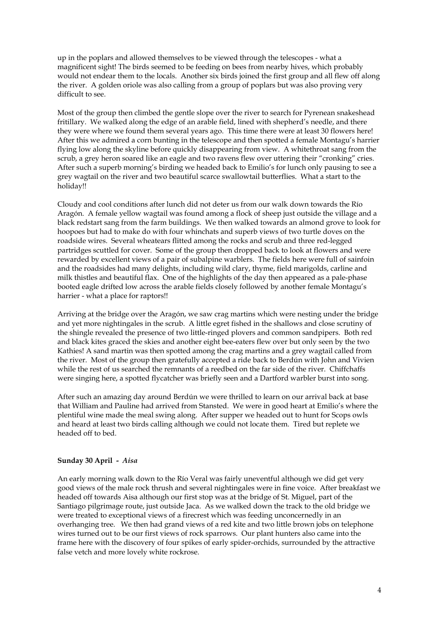up in the poplars and allowed themselves to be viewed through the telescopes - what a magnificent sight! The birds seemed to be feeding on bees from nearby hives, which probably would not endear them to the locals. Another six birds joined the first group and all flew off along the river. A golden oriole was also calling from a group of poplars but was also proving very difficult to see.

Most of the group then climbed the gentle slope over the river to search for Pyrenean snakeshead fritillary. We walked along the edge of an arable field, lined with shepherd's needle, and there they were where we found them several years ago. This time there were at least 30 flowers here! After this we admired a corn bunting in the telescope and then spotted a female Montagu's harrier flying low along the skyline before quickly disappearing from view. A whitethroat sang from the scrub, a grey heron soared like an eagle and two ravens flew over uttering their "cronking" cries. After such a superb morning's birding we headed back to Emilio's for lunch only pausing to see a grey wagtail on the river and two beautiful scarce swallowtail butterflies. What a start to the holiday!!

Cloudy and cool conditions after lunch did not deter us from our walk down towards the Río Aragón. A female yellow wagtail was found among a flock of sheep just outside the village and a black redstart sang from the farm buildings. We then walked towards an almond grove to look for hoopoes but had to make do with four whinchats and superb views of two turtle doves on the roadside wires. Several wheatears flitted among the rocks and scrub and three red-legged partridges scuttled for cover. Some of the group then dropped back to look at flowers and were rewarded by excellent views of a pair of subalpine warblers. The fields here were full of sainfoin and the roadsides had many delights, including wild clary, thyme, field marigolds, carline and milk thistles and beautiful flax. One of the highlights of the day then appeared as a pale-phase booted eagle drifted low across the arable fields closely followed by another female Montagu's harrier - what a place for raptors!!

Arriving at the bridge over the Aragón, we saw crag martins which were nesting under the bridge and yet more nightingales in the scrub. A little egret fished in the shallows and close scrutiny of the shingle revealed the presence of two little-ringed plovers and common sandpipers. Both red and black kites graced the skies and another eight bee-eaters flew over but only seen by the two Kathies! A sand martin was then spotted among the crag martins and a grey wagtail called from the river. Most of the group then gratefully accepted a ride back to Berdún with John and Vivien while the rest of us searched the remnants of a reedbed on the far side of the river. Chiffchaffs were singing here, a spotted flycatcher was briefly seen and a Dartford warbler burst into song.

After such an amazing day around Berdún we were thrilled to learn on our arrival back at base that William and Pauline had arrived from Stansted. We were in good heart at Emilio's where the plentiful wine made the meal swing along. After supper we headed out to hunt for Scops owls and heard at least two birds calling although we could not locate them. Tired but replete we headed off to bed.

## **Sunday 30 April -** *Aisa*

An early morning walk down to the Río Veral was fairly uneventful although we did get very good views of the male rock thrush and several nightingales were in fine voice. After breakfast we headed off towards Aisa although our first stop was at the bridge of St. Miguel, part of the Santiago pilgrimage route, just outside Jaca. As we walked down the track to the old bridge we were treated to exceptional views of a firecrest which was feeding unconcernedly in an overhanging tree. We then had grand views of a red kite and two little brown jobs on telephone wires turned out to be our first views of rock sparrows. Our plant hunters also came into the frame here with the discovery of four spikes of early spider-orchids, surrounded by the attractive false vetch and more lovely white rockrose.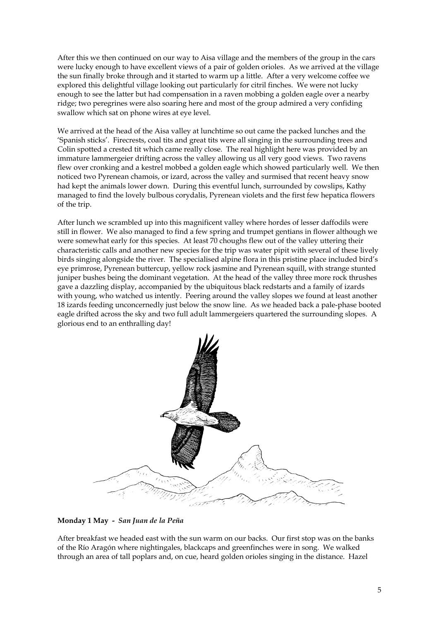After this we then continued on our way to Aisa village and the members of the group in the cars were lucky enough to have excellent views of a pair of golden orioles. As we arrived at the village the sun finally broke through and it started to warm up a little. After a very welcome coffee we explored this delightful village looking out particularly for citril finches. We were not lucky enough to see the latter but had compensation in a raven mobbing a golden eagle over a nearby ridge; two peregrines were also soaring here and most of the group admired a very confiding swallow which sat on phone wires at eye level.

We arrived at the head of the Aisa valley at lunchtime so out came the packed lunches and the 'Spanish sticks'. Firecrests, coal tits and great tits were all singing in the surrounding trees and Colin spotted a crested tit which came really close. The real highlight here was provided by an immature lammergeier drifting across the valley allowing us all very good views. Two ravens flew over cronking and a kestrel mobbed a golden eagle which showed particularly well. We then noticed two Pyrenean chamois, or izard, across the valley and surmised that recent heavy snow had kept the animals lower down. During this eventful lunch, surrounded by cowslips, Kathy managed to find the lovely bulbous corydalis, Pyrenean violets and the first few hepatica flowers of the trip.

After lunch we scrambled up into this magnificent valley where hordes of lesser daffodils were still in flower. We also managed to find a few spring and trumpet gentians in flower although we were somewhat early for this species. At least 70 choughs flew out of the valley uttering their characteristic calls and another new species for the trip was water pipit with several of these lively birds singing alongside the river. The specialised alpine flora in this pristine place included bird's eye primrose, Pyrenean buttercup, yellow rock jasmine and Pyrenean squill, with strange stunted juniper bushes being the dominant vegetation. At the head of the valley three more rock thrushes gave a dazzling display, accompanied by the ubiquitous black redstarts and a family of izards with young, who watched us intently. Peering around the valley slopes we found at least another 18 izards feeding unconcernedly just below the snow line. As we headed back a pale-phase booted eagle drifted across the sky and two full adult lammergeiers quartered the surrounding slopes. A glorious end to an enthralling day!



**Monday 1 May -** *San Juan de la Peña* 

After breakfast we headed east with the sun warm on our backs. Our first stop was on the banks of the Río Aragón where nightingales, blackcaps and greenfinches were in song. We walked through an area of tall poplars and, on cue, heard golden orioles singing in the distance. Hazel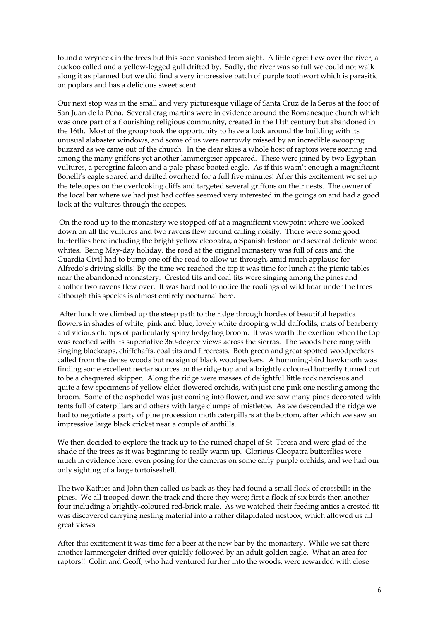found a wryneck in the trees but this soon vanished from sight. A little egret flew over the river, a cuckoo called and a yellow-legged gull drifted by. Sadly, the river was so full we could not walk along it as planned but we did find a very impressive patch of purple toothwort which is parasitic on poplars and has a delicious sweet scent.

Our next stop was in the small and very picturesque village of Santa Cruz de la Seros at the foot of San Juan de la Peña. Several crag martins were in evidence around the Romanesque church which was once part of a flourishing religious community, created in the 11th century but abandoned in the 16th. Most of the group took the opportunity to have a look around the building with its unusual alabaster windows, and some of us were narrowly missed by an incredible swooping buzzard as we came out of the church. In the clear skies a whole host of raptors were soaring and among the many griffons yet another lammergeier appeared. These were joined by two Egyptian vultures, a peregrine falcon and a pale-phase booted eagle. As if this wasn't enough a magnificent Bonelli's eagle soared and drifted overhead for a full five minutes! After this excitement we set up the telecopes on the overlooking cliffs and targeted several griffons on their nests. The owner of the local bar where we had just had coffee seemed very interested in the goings on and had a good look at the vultures through the scopes.

 On the road up to the monastery we stopped off at a magnificent viewpoint where we looked down on all the vultures and two ravens flew around calling noisily. There were some good butterflies here including the bright yellow cleopatra, a Spanish festoon and several delicate wood whites. Being May-day holiday, the road at the original monastery was full of cars and the Guardia Civil had to bump one off the road to allow us through, amid much applause for Alfredo's driving skills! By the time we reached the top it was time for lunch at the picnic tables near the abandoned monastery. Crested tits and coal tits were singing among the pines and another two ravens flew over. It was hard not to notice the rootings of wild boar under the trees although this species is almost entirely nocturnal here.

 After lunch we climbed up the steep path to the ridge through hordes of beautiful hepatica flowers in shades of white, pink and blue, lovely white drooping wild daffodils, mats of bearberry and vicious clumps of particularly spiny hedgehog broom. It was worth the exertion when the top was reached with its superlative 360-degree views across the sierras. The woods here rang with singing blackcaps, chiffchaffs, coal tits and firecrests. Both green and great spotted woodpeckers called from the dense woods but no sign of black woodpeckers. A humming-bird hawkmoth was finding some excellent nectar sources on the ridge top and a brightly coloured butterfly turned out to be a chequered skipper. Along the ridge were masses of delightful little rock narcissus and quite a few specimens of yellow elder-flowered orchids, with just one pink one nestling among the broom. Some of the asphodel was just coming into flower, and we saw many pines decorated with tents full of caterpillars and others with large clumps of mistletoe. As we descended the ridge we had to negotiate a party of pine procession moth caterpillars at the bottom, after which we saw an impressive large black cricket near a couple of anthills.

We then decided to explore the track up to the ruined chapel of St. Teresa and were glad of the shade of the trees as it was beginning to really warm up. Glorious Cleopatra butterflies were much in evidence here, even posing for the cameras on some early purple orchids, and we had our only sighting of a large tortoiseshell.

The two Kathies and John then called us back as they had found a small flock of crossbills in the pines. We all trooped down the track and there they were; first a flock of six birds then another four including a brightly-coloured red-brick male. As we watched their feeding antics a crested tit was discovered carrying nesting material into a rather dilapidated nestbox, which allowed us all great views

After this excitement it was time for a beer at the new bar by the monastery. While we sat there another lammergeier drifted over quickly followed by an adult golden eagle. What an area for raptors!! Colin and Geoff, who had ventured further into the woods, were rewarded with close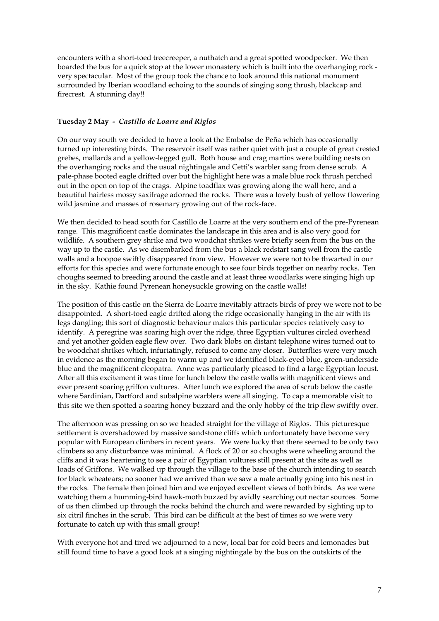encounters with a short-toed treecreeper, a nuthatch and a great spotted woodpecker. We then boarded the bus for a quick stop at the lower monastery which is built into the overhanging rock very spectacular. Most of the group took the chance to look around this national monument surrounded by Iberian woodland echoing to the sounds of singing song thrush, blackcap and firecrest. A stunning day!!

# **Tuesday 2 May -** *Castillo de Loarre and Riglos*

On our way south we decided to have a look at the Embalse de Peña which has occasionally turned up interesting birds. The reservoir itself was rather quiet with just a couple of great crested grebes, mallards and a yellow-legged gull. Both house and crag martins were building nests on the overhanging rocks and the usual nightingale and Cetti's warbler sang from dense scrub. A pale-phase booted eagle drifted over but the highlight here was a male blue rock thrush perched out in the open on top of the crags. Alpine toadflax was growing along the wall here, and a beautiful hairless mossy saxifrage adorned the rocks. There was a lovely bush of yellow flowering wild jasmine and masses of rosemary growing out of the rock-face.

We then decided to head south for Castillo de Loarre at the very southern end of the pre-Pyrenean range. This magnificent castle dominates the landscape in this area and is also very good for wildlife. A southern grey shrike and two woodchat shrikes were briefly seen from the bus on the way up to the castle. As we disembarked from the bus a black redstart sang well from the castle walls and a hoopoe swiftly disappeared from view. However we were not to be thwarted in our efforts for this species and were fortunate enough to see four birds together on nearby rocks. Ten choughs seemed to breeding around the castle and at least three woodlarks were singing high up in the sky. Kathie found Pyrenean honeysuckle growing on the castle walls!

The position of this castle on the Sierra de Loarre inevitably attracts birds of prey we were not to be disappointed. A short-toed eagle drifted along the ridge occasionally hanging in the air with its legs dangling; this sort of diagnostic behaviour makes this particular species relatively easy to identify. A peregrine was soaring high over the ridge, three Egyptian vultures circled overhead and yet another golden eagle flew over. Two dark blobs on distant telephone wires turned out to be woodchat shrikes which, infuriatingly, refused to come any closer. Butterflies were very much in evidence as the morning began to warm up and we identified black-eyed blue, green-underside blue and the magnificent cleopatra. Anne was particularly pleased to find a large Egyptian locust. After all this excitement it was time for lunch below the castle walls with magnificent views and ever present soaring griffon vultures. After lunch we explored the area of scrub below the castle where Sardinian, Dartford and subalpine warblers were all singing. To cap a memorable visit to this site we then spotted a soaring honey buzzard and the only hobby of the trip flew swiftly over.

The afternoon was pressing on so we headed straight for the village of Riglos. This picturesque settlement is overshadowed by massive sandstone cliffs which unfortunately have become very popular with European climbers in recent years. We were lucky that there seemed to be only two climbers so any disturbance was minimal. A flock of 20 or so choughs were wheeling around the cliffs and it was heartening to see a pair of Egyptian vultures still present at the site as well as loads of Griffons. We walked up through the village to the base of the church intending to search for black wheatears; no sooner had we arrived than we saw a male actually going into his nest in the rocks. The female then joined him and we enjoyed excellent views of both birds. As we were watching them a humming-bird hawk-moth buzzed by avidly searching out nectar sources. Some of us then climbed up through the rocks behind the church and were rewarded by sighting up to six citril finches in the scrub. This bird can be difficult at the best of times so we were very fortunate to catch up with this small group!

With everyone hot and tired we adjourned to a new, local bar for cold beers and lemonades but still found time to have a good look at a singing nightingale by the bus on the outskirts of the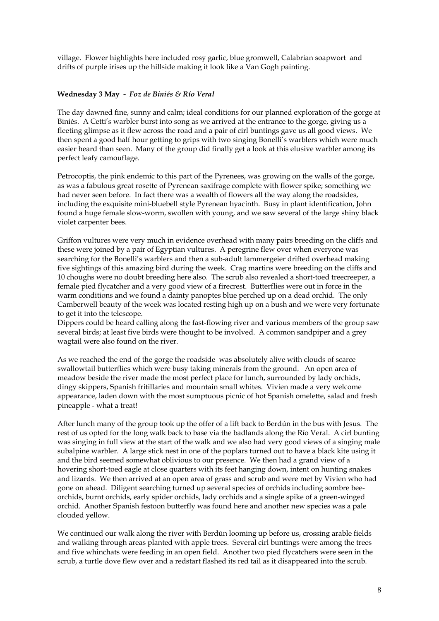village. Flower highlights here included rosy garlic, blue gromwell, Calabrian soapwort and drifts of purple irises up the hillside making it look like a Van Gogh painting.

# **Wednesday 3 May -** *Foz de Biniés & Río Veral*

The day dawned fine, sunny and calm; ideal conditions for our planned exploration of the gorge at Biniés. A Cetti's warbler burst into song as we arrived at the entrance to the gorge, giving us a fleeting glimpse as it flew across the road and a pair of cirl buntings gave us all good views. We then spent a good half hour getting to grips with two singing Bonelli's warblers which were much easier heard than seen. Many of the group did finally get a look at this elusive warbler among its perfect leafy camouflage.

Petrocoptis, the pink endemic to this part of the Pyrenees, was growing on the walls of the gorge, as was a fabulous great rosette of Pyrenean saxifrage complete with flower spike; something we had never seen before. In fact there was a wealth of flowers all the way along the roadsides, including the exquisite mini-bluebell style Pyrenean hyacinth. Busy in plant identification, John found a huge female slow-worm, swollen with young, and we saw several of the large shiny black violet carpenter bees.

Griffon vultures were very much in evidence overhead with many pairs breeding on the cliffs and these were joined by a pair of Egyptian vultures. A peregrine flew over when everyone was searching for the Bonelli's warblers and then a sub-adult lammergeier drifted overhead making five sightings of this amazing bird during the week. Crag martins were breeding on the cliffs and 10 choughs were no doubt breeding here also. The scrub also revealed a short-toed treecreeper, a female pied flycatcher and a very good view of a firecrest. Butterflies were out in force in the warm conditions and we found a dainty panoptes blue perched up on a dead orchid. The only Camberwell beauty of the week was located resting high up on a bush and we were very fortunate to get it into the telescope.

Dippers could be heard calling along the fast-flowing river and various members of the group saw several birds; at least five birds were thought to be involved. A common sandpiper and a grey wagtail were also found on the river.

As we reached the end of the gorge the roadside was absolutely alive with clouds of scarce swallowtail butterflies which were busy taking minerals from the ground. An open area of meadow beside the river made the most perfect place for lunch, surrounded by lady orchids, dingy skippers, Spanish fritillaries and mountain small whites. Vivien made a very welcome appearance, laden down with the most sumptuous picnic of hot Spanish omelette, salad and fresh pineapple - what a treat!

After lunch many of the group took up the offer of a lift back to Berdún in the bus with Jesus. The rest of us opted for the long walk back to base via the badlands along the Río Veral. A cirl bunting was singing in full view at the start of the walk and we also had very good views of a singing male subalpine warbler. A large stick nest in one of the poplars turned out to have a black kite using it and the bird seemed somewhat oblivious to our presence. We then had a grand view of a hovering short-toed eagle at close quarters with its feet hanging down, intent on hunting snakes and lizards. We then arrived at an open area of grass and scrub and were met by Vivien who had gone on ahead. Diligent searching turned up several species of orchids including sombre beeorchids, burnt orchids, early spider orchids, lady orchids and a single spike of a green-winged orchid. Another Spanish festoon butterfly was found here and another new species was a pale clouded yellow.

We continued our walk along the river with Berdún looming up before us, crossing arable fields and walking through areas planted with apple trees. Several cirl buntings were among the trees and five whinchats were feeding in an open field. Another two pied flycatchers were seen in the scrub, a turtle dove flew over and a redstart flashed its red tail as it disappeared into the scrub.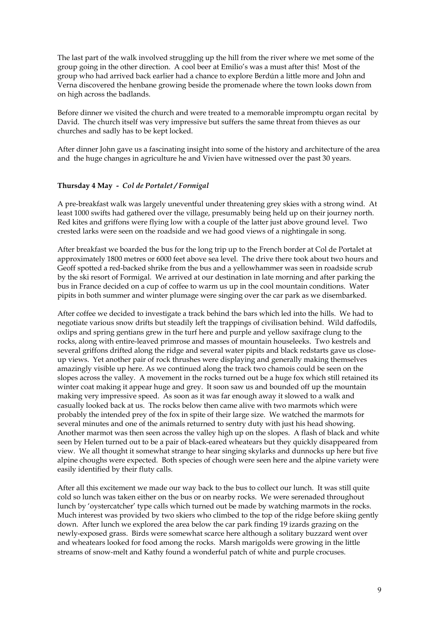The last part of the walk involved struggling up the hill from the river where we met some of the group going in the other direction. A cool beer at Emilio's was a must after this! Most of the group who had arrived back earlier had a chance to explore Berdún a little more and John and Verna discovered the henbane growing beside the promenade where the town looks down from on high across the badlands.

Before dinner we visited the church and were treated to a memorable impromptu organ recital by David. The church itself was very impressive but suffers the same threat from thieves as our churches and sadly has to be kept locked.

After dinner John gave us a fascinating insight into some of the history and architecture of the area and the huge changes in agriculture he and Vivien have witnessed over the past 30 years.

## **Thursday 4 May -** *Col de Portalet / Formigal*

A pre-breakfast walk was largely uneventful under threatening grey skies with a strong wind. At least 1000 swifts had gathered over the village, presumably being held up on their journey north. Red kites and griffons were flying low with a couple of the latter just above ground level. Two crested larks were seen on the roadside and we had good views of a nightingale in song.

After breakfast we boarded the bus for the long trip up to the French border at Col de Portalet at approximately 1800 metres or 6000 feet above sea level. The drive there took about two hours and Geoff spotted a red-backed shrike from the bus and a yellowhammer was seen in roadside scrub by the ski resort of Formigal. We arrived at our destination in late morning and after parking the bus in France decided on a cup of coffee to warm us up in the cool mountain conditions. Water pipits in both summer and winter plumage were singing over the car park as we disembarked.

After coffee we decided to investigate a track behind the bars which led into the hills. We had to negotiate various snow drifts but steadily left the trappings of civilisation behind. Wild daffodils, oxlips and spring gentians grew in the turf here and purple and yellow saxifrage clung to the rocks, along with entire-leaved primrose and masses of mountain houseleeks. Two kestrels and several griffons drifted along the ridge and several water pipits and black redstarts gave us closeup views. Yet another pair of rock thrushes were displaying and generally making themselves amazingly visible up here. As we continued along the track two chamois could be seen on the slopes across the valley. A movement in the rocks turned out be a huge fox which still retained its winter coat making it appear huge and grey. It soon saw us and bounded off up the mountain making very impressive speed. As soon as it was far enough away it slowed to a walk and casually looked back at us. The rocks below then came alive with two marmots which were probably the intended prey of the fox in spite of their large size. We watched the marmots for several minutes and one of the animals returned to sentry duty with just his head showing. Another marmot was then seen across the valley high up on the slopes. A flash of black and white seen by Helen turned out to be a pair of black-eared wheatears but they quickly disappeared from view. We all thought it somewhat strange to hear singing skylarks and dunnocks up here but five alpine choughs were expected. Both species of chough were seen here and the alpine variety were easily identified by their fluty calls.

After all this excitement we made our way back to the bus to collect our lunch. It was still quite cold so lunch was taken either on the bus or on nearby rocks. We were serenaded throughout lunch by 'oystercatcher' type calls which turned out be made by watching marmots in the rocks. Much interest was provided by two skiers who climbed to the top of the ridge before skiing gently down. After lunch we explored the area below the car park finding 19 izards grazing on the newly-exposed grass. Birds were somewhat scarce here although a solitary buzzard went over and wheatears looked for food among the rocks. Marsh marigolds were growing in the little streams of snow-melt and Kathy found a wonderful patch of white and purple crocuses.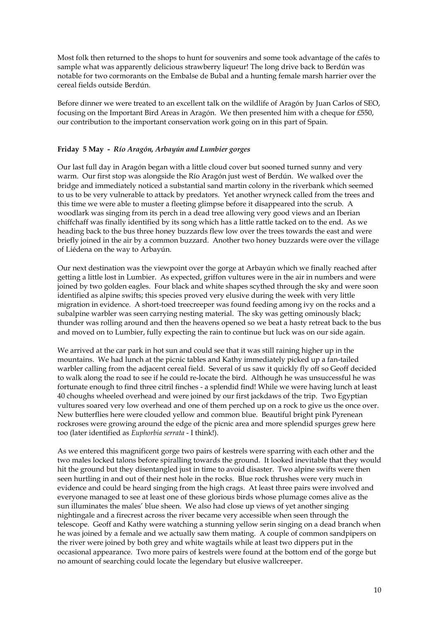Most folk then returned to the shops to hunt for souvenirs and some took advantage of the cafés to sample what was apparently delicious strawberry liqueur! The long drive back to Berdún was notable for two cormorants on the Embalse de Bubal and a hunting female marsh harrier over the cereal fields outside Berdún.

Before dinner we were treated to an excellent talk on the wildlife of Aragón by Juan Carlos of SEO, focusing on the Important Bird Areas in Aragón. We then presented him with a cheque for £550, our contribution to the important conservation work going on in this part of Spain.

# **Friday 5 May -** *Río Aragón, Arbayún and Lumbier gorges*

Our last full day in Aragón began with a little cloud cover but sooned turned sunny and very warm. Our first stop was alongside the Río Aragón just west of Berdún. We walked over the bridge and immediately noticed a substantial sand martin colony in the riverbank which seemed to us to be very vulnerable to attack by predators. Yet another wryneck called from the trees and this time we were able to muster a fleeting glimpse before it disappeared into the scrub. A woodlark was singing from its perch in a dead tree allowing very good views and an Iberian chiffchaff was finally identified by its song which has a little rattle tacked on to the end. As we heading back to the bus three honey buzzards flew low over the trees towards the east and were briefly joined in the air by a common buzzard. Another two honey buzzards were over the village of Liédena on the way to Arbayún.

Our next destination was the viewpoint over the gorge at Arbayún which we finally reached after getting a little lost in Lumbier. As expected, griffon vultures were in the air in numbers and were joined by two golden eagles. Four black and white shapes scythed through the sky and were soon identified as alpine swifts; this species proved very elusive during the week with very little migration in evidence. A short-toed treecreeper was found feeding among ivy on the rocks and a subalpine warbler was seen carrying nesting material. The sky was getting ominously black; thunder was rolling around and then the heavens opened so we beat a hasty retreat back to the bus and moved on to Lumbier, fully expecting the rain to continue but luck was on our side again.

We arrived at the car park in hot sun and could see that it was still raining higher up in the mountains. We had lunch at the picnic tables and Kathy immediately picked up a fan-tailed warbler calling from the adjacent cereal field. Several of us saw it quickly fly off so Geoff decided to walk along the road to see if he could re-locate the bird. Although he was unsuccessful he was fortunate enough to find three citril finches - a splendid find! While we were having lunch at least 40 choughs wheeled overhead and were joined by our first jackdaws of the trip. Two Egyptian vultures soared very low overhead and one of them perched up on a rock to give us the once over. New butterflies here were clouded yellow and common blue. Beautiful bright pink Pyrenean rockroses were growing around the edge of the picnic area and more splendid spurges grew here too (later identified as *Euphorbia serrata* - I think!).

As we entered this magnificent gorge two pairs of kestrels were sparring with each other and the two males locked talons before spiralling towards the ground. It looked inevitable that they would hit the ground but they disentangled just in time to avoid disaster. Two alpine swifts were then seen hurtling in and out of their nest hole in the rocks. Blue rock thrushes were very much in evidence and could be heard singing from the high crags. At least three pairs were involved and everyone managed to see at least one of these glorious birds whose plumage comes alive as the sun illuminates the males' blue sheen. We also had close up views of yet another singing nightingale and a firecrest across the river became very accessible when seen through the telescope. Geoff and Kathy were watching a stunning yellow serin singing on a dead branch when he was joined by a female and we actually saw them mating. A couple of common sandpipers on the river were joined by both grey and white wagtails while at least two dippers put in the occasional appearance. Two more pairs of kestrels were found at the bottom end of the gorge but no amount of searching could locate the legendary but elusive wallcreeper.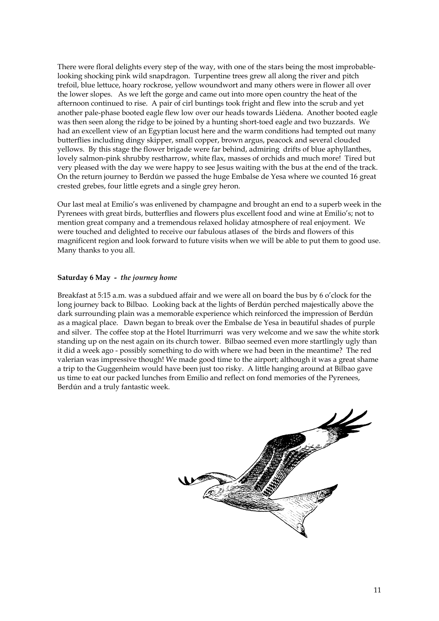There were floral delights every step of the way, with one of the stars being the most improbablelooking shocking pink wild snapdragon. Turpentine trees grew all along the river and pitch trefoil, blue lettuce, hoary rockrose, yellow woundwort and many others were in flower all over the lower slopes. As we left the gorge and came out into more open country the heat of the afternoon continued to rise. A pair of cirl buntings took fright and flew into the scrub and yet another pale-phase booted eagle flew low over our heads towards Liédena. Another booted eagle was then seen along the ridge to be joined by a hunting short-toed eagle and two buzzards. We had an excellent view of an Egyptian locust here and the warm conditions had tempted out many butterflies including dingy skipper, small copper, brown argus, peacock and several clouded yellows. By this stage the flower brigade were far behind, admiring drifts of blue aphyllanthes, lovely salmon-pink shrubby restharrow, white flax, masses of orchids and much more! Tired but very pleased with the day we were happy to see Jesus waiting with the bus at the end of the track. On the return journey to Berdún we passed the huge Embalse de Yesa where we counted 16 great crested grebes, four little egrets and a single grey heron.

Our last meal at Emilio's was enlivened by champagne and brought an end to a superb week in the Pyrenees with great birds, butterflies and flowers plus excellent food and wine at Emilio's; not to mention great company and a tremendous relaxed holiday atmosphere of real enjoyment. We were touched and delighted to receive our fabulous atlases of the birds and flowers of this magnificent region and look forward to future visits when we will be able to put them to good use. Many thanks to you all.

# **Saturday 6 May -** *the journey home*

Breakfast at 5:15 a.m. was a subdued affair and we were all on board the bus by 6 o'clock for the long journey back to Bilbao. Looking back at the lights of Berdún perched majestically above the dark surrounding plain was a memorable experience which reinforced the impression of Berdún as a magical place. Dawn began to break over the Embalse de Yesa in beautiful shades of purple and silver. The coffee stop at the Hotel Iturrimurri was very welcome and we saw the white stork standing up on the nest again on its church tower. Bilbao seemed even more startlingly ugly than it did a week ago - possibly something to do with where we had been in the meantime? The red valerian was impressive though! We made good time to the airport; although it was a great shame a trip to the Guggenheim would have been just too risky. A little hanging around at Bilbao gave us time to eat our packed lunches from Emilio and reflect on fond memories of the Pyrenees, Berdún and a truly fantastic week.

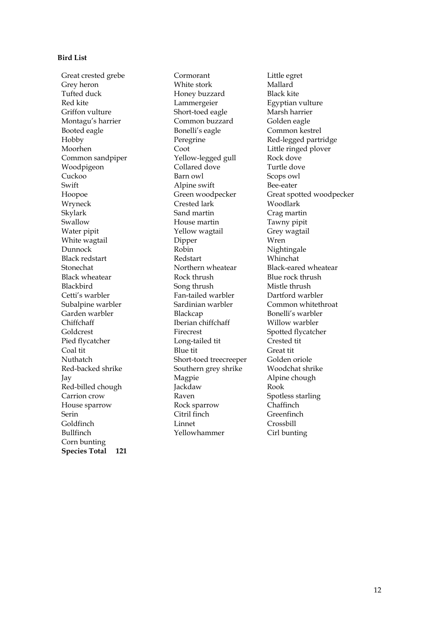## **Bird List**

Great crested grebe **Cormorant** Little egret Grey heron White stork Mallard Tufted duck **Honey buzzard** Black kite Red kite Lammergeier Egyptian vulture Griffon vulture Short-toed eagle Marsh harrier Montagu's harrier Common buzzard Golden eagle Booted eagle The Bonelli's eagle The Common kestrel Hobby Peregrine Red-legged partridge Moorhen Coot Coot Little ringed plover Common sandpiper Yellow-legged gull Rock dove Woodpigeon Collared dove Turtle dove Cuckoo Barn owl Scops owl Wryneck Crested lark Woodlark Skylark Sand martin Crag martin Swallow House martin Tawny pipit Water pipit **Water pipit** Yellow wagtail **Grey wagtail** White wagtail **Dipper** Wren Dunnock Robin Nightingale Black redstart Redstart Whinchat Stonechat Northern wheatear Black-eared wheatear Black wheatear **Rock** thrush Blue rock thrush Blackbird Song thrush Mistle thrush Cetti's warbler Fan-tailed warbler Dartford warbler Subalpine warbler Sardinian warbler Common whitethroat Garden warbler Blackcap Bonelli's warbler Chiffchaff Iberian chiffchaff Willow warbler Goldcrest Firecrest Spotted flycatcher Pied flycatcher Long-tailed tit Crested tit Coal tit Great tit Blue tit Great tit Nuthatch Short-toed treecreeper Golden oriole Red-backed shrike Southern grey shrike Woodchat shrike Jay Magpie Alpine chough Red-billed chough Jackdaw Jackdaw Rook Carrion crow Raven Raven Spotless starling House sparrow Rock sparrow Chaffinch Serin Citril finch Greenfinch<br>Goldfinch Linnet Crossbill Goldfinch Bullfinch Yellowhammer Cirl bunting Corn bunting **Species Total 121**

Alpine swift Bee-eater

Hoopoe Green woodpecker Great spotted woodpecker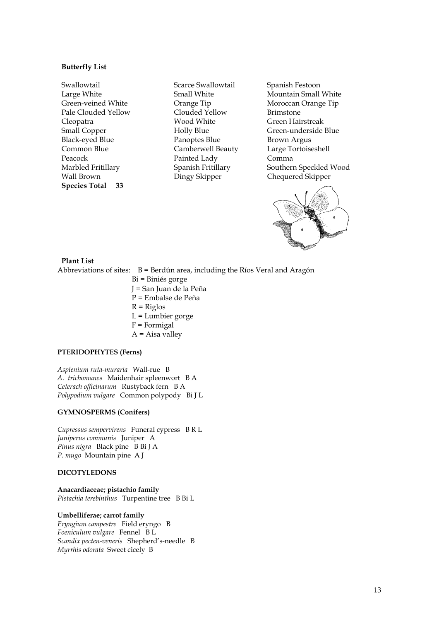## **Butterfly List**

Swallowtail Scarce Swallowtail Spanish Festoon Pale Clouded Yellow Clouded Yellow Brimstone Cleopatra Wood White Green Hairstreak Black-eyed Blue **Panoptes Blue** Brown Argus Common Blue Camberwell Beauty Large Tortoiseshell Peacock Painted Lady Comma Wall Brown **Dingy Skipper** Chequered Skipper **Species Total 33** 

Large White Small White Mountain Small White Green-veined White **Cause Orange Tip** Moroccan Orange Tip Small Copper **Holly Blue** Green-underside Blue Marbled Fritillary Spanish Fritillary Southern Speckled Wood



**Plant List**  Abbreviations of sites:  $B = \text{Berd}$  area, including the Ríos Veral and Aragón

 Bi = Biniés gorge J = San Juan de la Peña P = Embalse de Peña  $R =$ Riglos L = Lumbier gorge  $F = Formigal$  $A = A$ isa valley

# **PTERIDOPHYTES (Ferns)**

*Asplenium ruta-muraria* Wall-rue B *A. trichomanes* Maidenhair spleenwort B A *Ceterach officinarum* Rustyback fern B A *Polypodium vulgare* Common polypody Bi J L

## **GYMNOSPERMS (Conifers)**

*Cupressus sempervirens* Funeral cypress B R L *Juniperus communis* Juniper A *Pinus nigra* Black pine B Bi J A *P. mugo* Mountain pine A J

# **DICOTYLEDONS**

**Anacardiaceae; pistachio family**  *Pistachia terebinthus* Turpentine tree B Bi L

#### **Umbelliferae; carrot family**

*Eryngium campestre* Field eryngo B *Foeniculum vulgare* Fennel B L *Scandix pecten-veneris* Shepherd's-needle B *Myrrhis odorata* Sweet cicely B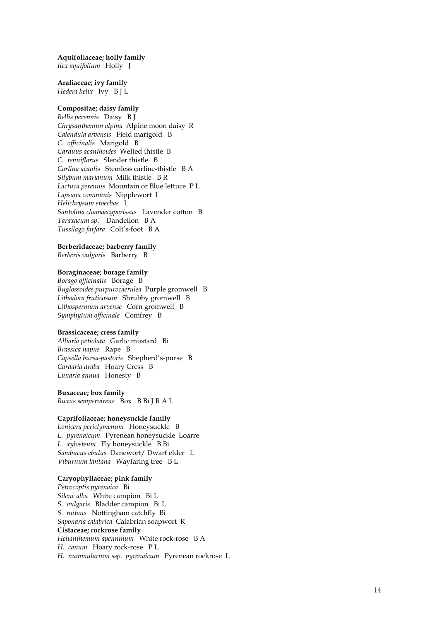#### **Aquifoliaceae; holly family**

*Ilex aquifolium* Holly J

#### **Araliaceae; ivy family**  *Hedera helix* Ivy B J L

#### **Compositae; daisy family**

*Bellis perennis* Daisy B J *Chrysanthemun alpina* Alpine moon daisy R *Calendula arvensis* Field marigold B *C. officinalis* Marigold B *Carduus acanthoides* Welted thistle B *C. tenuiflorus* Slender thistle B *Carlina acaulis* Stemless carline-thistle B A *Silybum marianum* Milk thistle B R *Lactuca perennis* Mountain or Blue lettuce P L *Lapsana communis* Nipplewort L *Helichrysum stoechas* L *Santolina chamaecyparissus* Lavender cotton B *Taraxacum sp*. Dandelion B A *Tussilago farfara* Colt's-foot B A

#### **Berberidaceae; barberry family**  *Berberis vulgaris* Barberry B

## **Boraginaceae; borage family**

*Borago officinalis* Borage B *Buglossoides purpurocaerulea* Purple gromwell B *Lithodora fruticosum* Shrubby gromwell B *Lithospermum arvense* Corn gromwell B *Symphytum officinale* Comfrey B

#### **Brassicaceae; cress family**

*Alliaria petiolata* Garlic mustard Bi *Brassica napus* Rape B *Capsella bursa-pastoris* Shepherd's-purse B *Cardaria draba* Hoary Cress B *Lunaria annua* Honesty B

#### **Buxaceae; box family**

*Buxus sempervirens* Box B Bi J R A L

## **Caprifoliaceae; honeysuckle family**

*Lonicera periclymenum* Honeysuckle B *L. pyrenaicum* Pyrenean honeysuckle Loarre *L. xylosteum* Fly honeysuckle B Bi *Sambucus ebulus* Danewort/ Dwarf elder L *Viburnum lantana* Wayfaring tree B L

#### **Caryophyllaceae; pink family**

*Petrocoptis pyrenaica* Bi *Silene alba* White campion Bi L *S. vulgaris* Bladder campion Bi L *S. nutans* Nottingham catchfly Bi *Saponaria calabrica* Calabrian soapwort R **Cistaceae; rockrose family**  *Helianthemum apenninum* White rock-rose B A *H. canum* Hoary rock-rose P L *H. nummularium ssp. pyrenaicum* Pyrenean rockrose L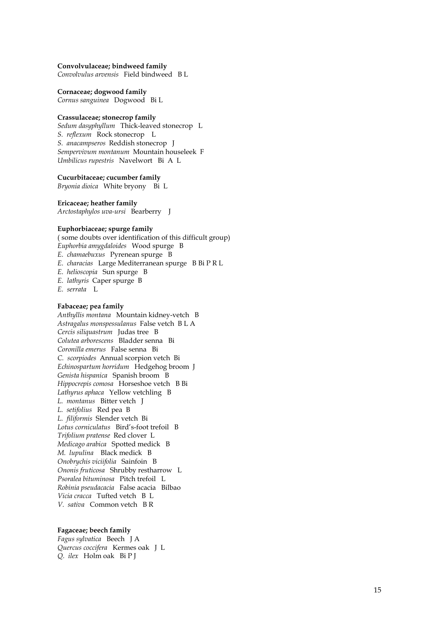#### **Convolvulaceae; bindweed family**

*Convolvulus arvensis* Field bindweed B L

#### **Cornaceae; dogwood family**

*Cornus sanguinea* Dogwood Bi L

#### **Crassulaceae; stonecrop family**

*Sedum dasyphyllum* Thick-leaved stonecrop L *S. reflexum* Rock stonecrop L *S. anacampseros* Reddish stonecrop J *Sempervivum montanum* Mountain houseleek F *Umbilicus rupestris* Navelwort Bi A L

#### **Cucurbitaceae; cucumber family**

*Bryonia dioica* White bryony Bi L

#### **Ericaceae; heather family**

*Arctostaphylos uva-ursi* Bearberry J

#### **Euphorbiaceae; spurge family**

( some doubts over identification of this difficult group) *Euphorbia amygdaloides* Wood spurge B *E. chamaebuxus* Pyrenean spurge B *E. characias* Large Mediterranean spurge B Bi P R L *E. helioscopia* Sun spurge B *E. lathyris* Caper spurge B *E. serrata* L

# **Fabaceae; pea family**

*Anthyllis montana* Mountain kidney-vetch B *Astragalus monspessulanus* False vetch B L A *Cercis siliquastrum* Judas tree B *Colutea arborescens* Bladder senna Bi *Coronilla emerus* False senna Bi *C. scorpiodes* Annual scorpion vetch Bi *Echinospartum horridum* Hedgehog broom J *Genista hispanica* Spanish broom B *Hippocrepis comosa* Horseshoe vetch B Bi *Lathyrus aphaca* Yellow vetchling B *L. montanus* Bitter vetch J *L. setifolius* Red pea B *L. filiformis* Slender vetch Bi *Lotus corniculatus* Bird's-foot trefoil B *Trifolium pratense* Red clover L *Medicago arabica* Spotted medick B *M. lupulina* Black medick B *Onobrychis viciifolia* Sainfoin B *Ononis fruticosa* Shrubby restharrow L *Psoralea bituminosa* Pitch trefoil L *Robinia pseudacacia* False acacia Bilbao *Vicia cracca* Tufted vetch B L *V. sativa* Common vetch B R

## **Fagaceae; beech family**

*Fagus sylvatica* Beech J A *Quercus coccifera* Kermes oak J L *Q. ilex* Holm oak Bi P J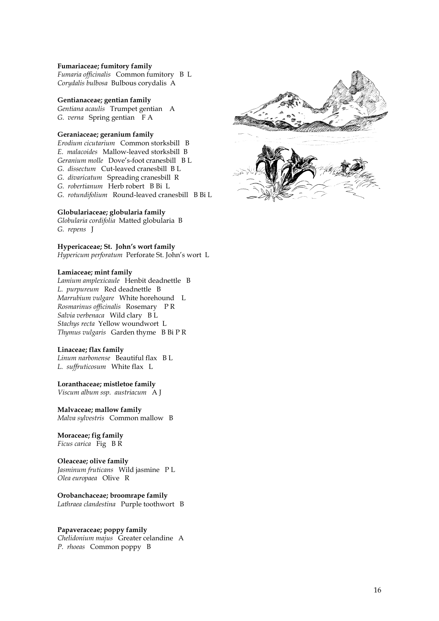#### **Fumariaceae; fumitory family**

*Fumaria officinalis* Common fumitory B L *Corydalis bulbosa* Bulbous corydalis A

#### **Gentianaceae; gentian family**

*Gentiana acaulis* Trumpet gentian A *G. verna* Spring gentian F A

# **Geraniaceae; geranium family**

*Erodium cicutarium* Common storksbill B *E. malacoides* Mallow-leaved storksbill B *Geranium molle* Dove's-foot cranesbill B L *G. dissectum* Cut-leaved cranesbill B L *G. divaricatum* Spreading cranesbill R *G. robertianum* Herb robert B Bi L *G. rotundifolium* Round-leaved cranesbill B Bi L

#### **Globulariaceae; globularia family**

*Globularia cordifolia* Matted globularia B *G. repens* J

**Hypericaceae; St. John's wort family**  *Hypericum perforatum* Perforate St. John's wort L

## **Lamiaceae; mint family**

*Lamium amplexicaule* Henbit deadnettle B *L. purpureum* Red deadnettle B *Marrubium vulgare* White horehound L *Rosmarinus officinalis* Rosemary P R *Salvia verbenaca* Wild clary B L *Stachys recta* Yellow woundwort L *Thymus vulgaris* Garden thyme B Bi P R

## **Linaceae; flax family**

*Linum narbonense* Beautiful flax B L *L. suffruticosum* White flax L

#### **Loranthaceae; mistletoe family**

*Viscum album ssp. austriacum* A J

## **Malvaceae; mallow family**

*Malva sylvestris* Common mallow B

# **Moraceae; fig family**

*Ficus carica* Fig B R

#### **Oleaceae; olive family**

*Jasminum fruticans* Wild jasmine P L *Olea europaea* Olive R

#### **Orobanchaceae; broomrape family**

*Lathraea clandestina* Purple toothwort B

#### **Papaveraceae; poppy family**

*Chelidonium majus* Greater celandine A *P. rhoeas* Common poppy B

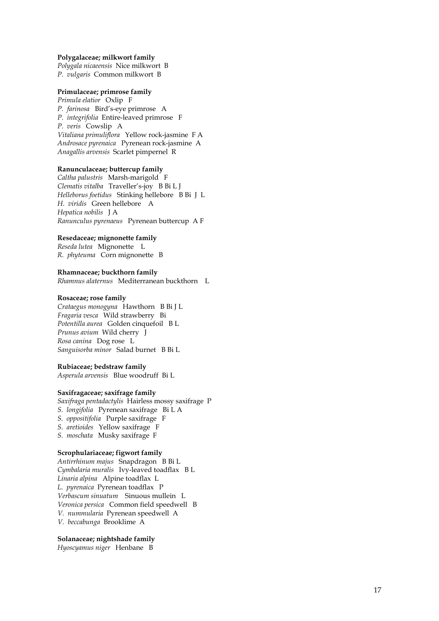#### **Polygalaceae; milkwort family**

*Polygala nicaeensis* Nice milkwort B *P. vulgaris* Common milkwort B

#### **Primulaceae; primrose family**

*Primula elatior* Oxlip F *P. farinosa* Bird's-eye primrose A *P. integrifolia* Entire-leaved primrose F *P. veris* Cowslip A *Vitaliana primuliflora* Yellow rock-jasmine F A *Androsace pyrenaica* Pyrenean rock-jasmine A *Anagallis arvensis* Scarlet pimpernel R

#### **Ranunculaceae; buttercup family**

*Caltha palustris* Marsh-marigold F *Clematis vitalba* Traveller's-joy B Bi L J *Helleborus foetidus* Stinking hellebore B Bi J L *H. viridis* Green hellebore A *Hepatica nobilis* J A *Ranunculus pyrenaeus* Pyrenean buttercup A F

## **Resedaceae; mignonette family**

*Reseda lutea* Mignonette L *R. phyteuma* Corn mignonette B

#### **Rhamnaceae; buckthorn family**

*Rhamnus alaternus* Mediterranean buckthorn L

#### **Rosaceae; rose family**

*Crataegus monogyna* Hawthorn B Bi J L *Fragaria vesca* Wild strawberry Bi *Potentilla aurea* Golden cinquefoil B L *Prunus avium* Wild cherry J *Rosa canina* Dog rose L *Sanguisorba minor* Salad burnet B Bi L

#### **Rubiaceae; bedstraw family**

*Asperula arvensis* Blue woodruff Bi L

#### **Saxifragaceae; saxifrage family**

*Saxifraga pentadactylis* Hairless mossy saxifrage P *S. longifolia* Pyrenean saxifrage Bi L A *S. oppositifolia* Purple saxifrage F *S. aretioides* Yellow saxifrage F *S. moschata* Musky saxifrage F

## **Scrophulariaceae; figwort family**

*Antirrhinum majus* Snapdragon B Bi L *Cymbalaria muralis* Ivy-leaved toadflax B L *Linaria alpina* Alpine toadflax L *L. pyrenaica* Pyrenean toadflax P *Verbascum sinuatum* Sinuous mullein L *Veronica persica* Common field speedwell B *V. nummularia* Pyrenean speedwell A *V. beccabunga* Brooklime A

#### **Solanaceae; nightshade family**

*Hyoscyamus niger* Henbane B